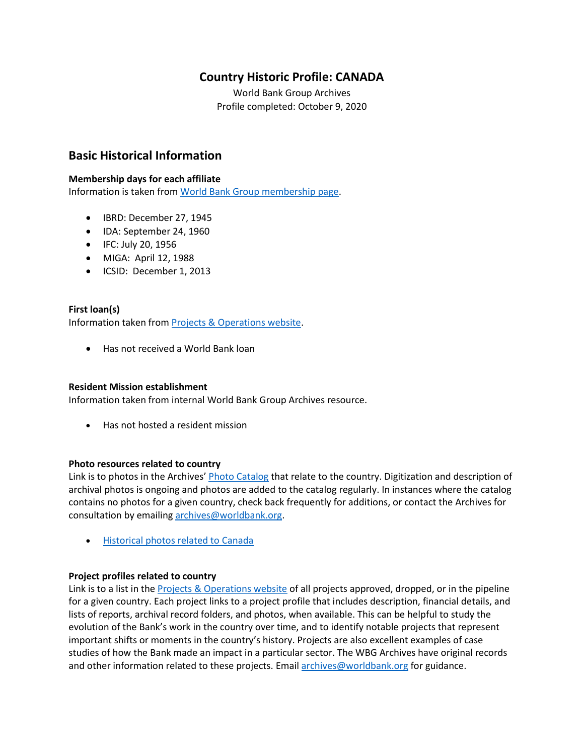# **Country Historic Profile: CANADA**

World Bank Group Archives Profile completed: October 9, 2020

## **Basic Historical Information**

#### **Membership days for each affiliate**

Information is taken from [World Bank Group membership page.](https://www.worldbank.org/en/about/leadership/members#1)

- IBRD: December 27, 1945
- IDA: September 24, 1960
- IFC: July 20, 1956
- MIGA: April 12, 1988
- ICSID: December 1, 2013

#### **First loan(s)**

Information taken from [Projects & Operations website.](https://projects.worldbank.org/)

• Has not received a World Bank loan

#### **Resident Mission establishment**

Information taken from internal World Bank Group Archives resource.

• Has not hosted a resident mission

#### **Photo resources related to country**

Link is to photos in the Archives' [Photo Catalog](https://archivesphotos.worldbank.org/en/about/archives/photo-gallery) that relate to the country. Digitization and description of archival photos is ongoing and photos are added to the catalog regularly. In instances where the catalog contains no photos for a given country, check back frequently for additions, or contact the Archives for consultation by emailing [archives@worldbank.org.](mailto:archives@worldbank.org)

• [Historical photos related to](https://archivesphotos.worldbank.org/en/about/archives/photo-gallery/photo-gallery-landing?qterm=Canada&wbg_country=Canada) Canada

#### **Project profiles related to country**

Link is to a list in the [Projects & Operations website](https://projects.worldbank.org/) of all projects approved, dropped, or in the pipeline for a given country. Each project links to a project profile that includes description, financial details, and lists of reports, archival record folders, and photos, when available. This can be helpful to study the evolution of the Bank's work in the country over time, and to identify notable projects that represent important shifts or moments in the country's history. Projects are also excellent examples of case studies of how the Bank made an impact in a particular sector. The WBG Archives have original records and other information related to these projects. Email [archives@worldbank.org](mailto:archives@worldbank.org) for guidance.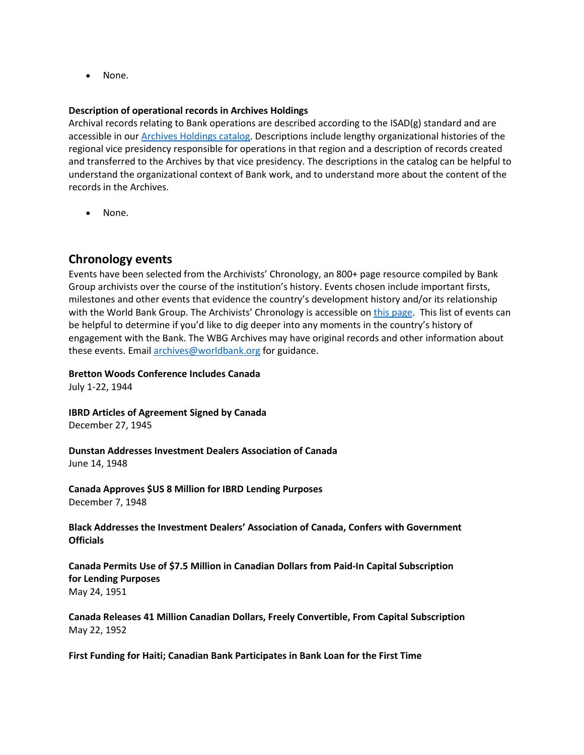• None.

#### **Description of operational records in Archives Holdings**

Archival records relating to Bank operations are described according to the ISAD(g) standard and are accessible in our [Archives Holdings catalog.](https://archivesholdings.worldbank.org/) Descriptions include lengthy organizational histories of the regional vice presidency responsible for operations in that region and a description of records created and transferred to the Archives by that vice presidency. The descriptions in the catalog can be helpful to understand the organizational context of Bank work, and to understand more about the content of the records in the Archives.

• None.

## **Chronology events**

Events have been selected from the Archivists' Chronology, an 800+ page resource compiled by Bank Group archivists over the course of the institution's history. Events chosen include important firsts, milestones and other events that evidence the country's development history and/or its relationship with the World Bank Group. The Archivists' Chronology is accessible on [this page.](https://www.worldbank.org/en/about/archives/history/timeline) This list of events can be helpful to determine if you'd like to dig deeper into any moments in the country's history of engagement with the Bank. The WBG Archives may have original records and other information about these events. Email [archives@worldbank.org](mailto:archives@worldbank.org) for guidance.

**Bretton Woods Conference Includes Canada**

July 1-22, 1944

**IBRD Articles of Agreement Signed by Canada** December 27, 1945

**Dunstan Addresses Investment Dealers Association of Canada** June 14, 1948

**Canada Approves \$US 8 Million for IBRD Lending Purposes** December 7, 1948

**Black Addresses the Investment Dealers' Association of Canada, Confers with Government Officials**

**Canada Permits Use of \$7.5 Million in Canadian Dollars from Paid-In Capital Subscription for Lending Purposes** May 24, 1951

**Canada Releases 41 Million Canadian Dollars, Freely Convertible, From Capital Subscription** May 22, 1952

**First Funding for Haiti; Canadian Bank Participates in Bank Loan for the First Time**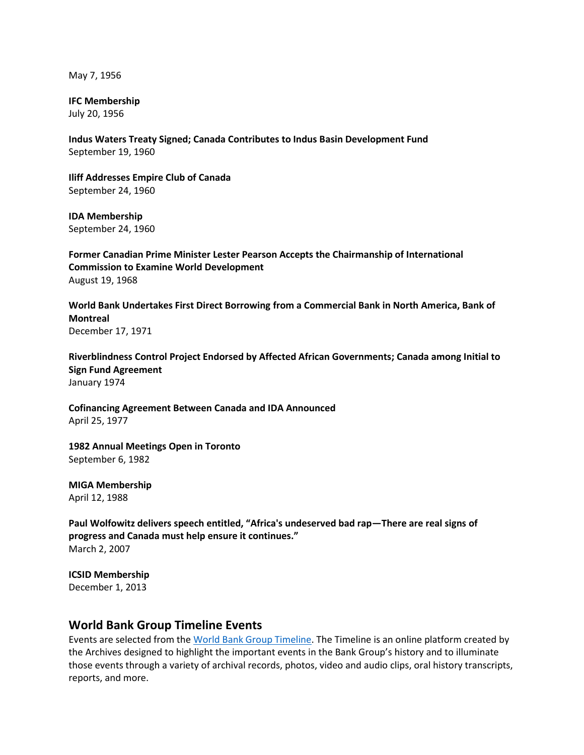May 7, 1956

**IFC Membership**

July 20, 1956

**Indus Waters Treaty Signed; Canada Contributes to Indus Basin Development Fund** September 19, 1960

**Iliff Addresses Empire Club of Canada** September 24, 1960

**IDA Membership** September 24, 1960

**Former Canadian Prime Minister Lester Pearson Accepts the Chairmanship of International Commission to Examine World Development** August 19, 1968

**World Bank Undertakes First Direct Borrowing from a Commercial Bank in North America, Bank of Montreal** December 17, 1971

**Riverblindness Control Project Endorsed by Affected African Governments; Canada among Initial to Sign Fund Agreement** January 1974

**Cofinancing Agreement Between Canada and IDA Announced** April 25, 1977

**1982 Annual Meetings Open in Toronto** September 6, 1982

**MIGA Membership** April 12, 1988

**Paul Wolfowitz delivers speech entitled, "Africa's undeserved bad rap—There are real signs of progress and Canada must help ensure it continues."** March 2, 2007

**ICSID Membership** December 1, 2013

# **World Bank Group Timeline Events**

Events are selected from th[e World Bank Group Timeline.](https://timeline.worldbank.org/#event-bretton-woods-conference-begins) The Timeline is an online platform created by the Archives designed to highlight the important events in the Bank Group's history and to illuminate those events through a variety of archival records, photos, video and audio clips, oral history transcripts, reports, and more.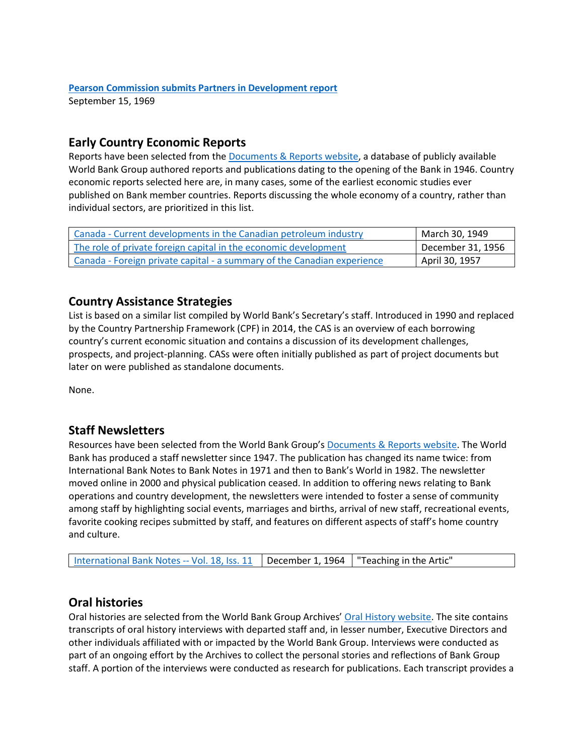#### **[Pearson Commission submits Partners in Development report](https://timeline.worldbank.org/?field_timeline_target_id=All&combine=Canadian#event-pearson-commission-submits-partners-in-development-report)** September 15, 1969

## **Early Country Economic Reports**

Reports have been selected from the [Documents & Reports website,](https://documents.worldbank.org/) a database of publicly available World Bank Group authored reports and publications dating to the opening of the Bank in 1946. Country economic reports selected here are, in many cases, some of the earliest economic studies ever published on Bank member countries. Reports discussing the whole economy of a country, rather than individual sectors, are prioritized in this list.

| Canada - Current developments in the Canadian petroleum industry        | March 30, 1949    |
|-------------------------------------------------------------------------|-------------------|
| The role of private foreign capital in the economic development         | December 31, 1956 |
| Canada - Foreign private capital - a summary of the Canadian experience | April 30, 1957    |

## **Country Assistance Strategies**

List is based on a similar list compiled by World Bank's Secretary's staff. Introduced in 1990 and replaced by the Country Partnership Framework (CPF) in 2014, the CAS is an overview of each borrowing country's current economic situation and contains a discussion of its development challenges, prospects, and project-planning. CASs were often initially published as part of project documents but later on were published as standalone documents.

None.

# **Staff Newsletters**

Resources have been selected from the World Bank Group's [Documents & Reports website.](https://documents.worldbank.org/) The World Bank has produced a staff newsletter since 1947. The publication has changed its name twice: from International Bank Notes to Bank Notes in 1971 and then to Bank's World in 1982. The newsletter moved online in 2000 and physical publication ceased. In addition to offering news relating to Bank operations and country development, the newsletters were intended to foster a sense of community among staff by highlighting social events, marriages and births, arrival of new staff, recreational events, favorite cooking recipes submitted by staff, and features on different aspects of staff's home country and culture.

# **Oral histories**

Oral histories are selected from the World Bank Group Archives' [Oral History website.](https://oralhistory.worldbank.org/) The site contains transcripts of oral history interviews with departed staff and, in lesser number, Executive Directors and other individuals affiliated with or impacted by the World Bank Group. Interviews were conducted as part of an ongoing effort by the Archives to collect the personal stories and reflections of Bank Group staff. A portion of the interviews were conducted as research for publications. Each transcript provides a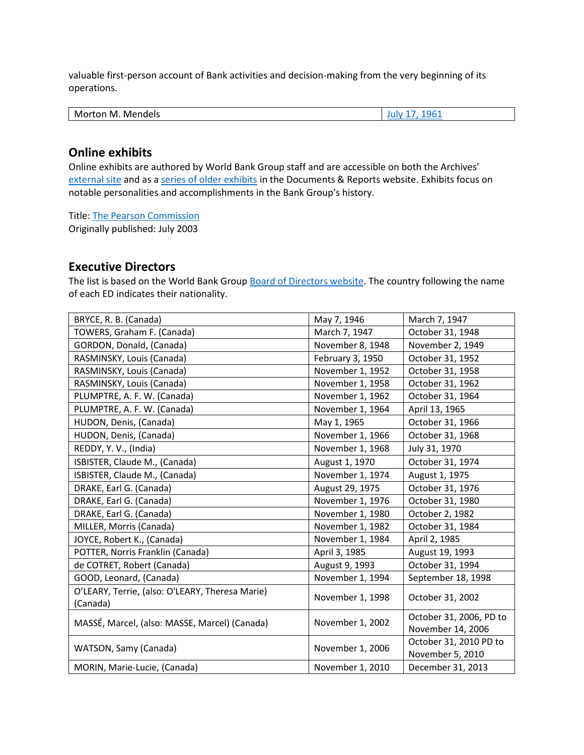valuable first-person account of Bank activities and decision-making from the very beginning of its operations.

| M<br>Mende'<br><b>M</b><br>.OF<br>. |
|-------------------------------------|
|-------------------------------------|

### **Online exhibits**

Online exhibits are authored by World Bank Group staff and are accessible on both the Archives' [external site](https://www.worldbank.org/en/about/archives/history/exhibits) and as a [series of older exhibits](https://documents.worldbank.org/en/publication/documents-reports/documentlist?colti=World%20Bank%20Group%20Archives%20exhibit%20series) in the Documents & Reports website. Exhibits focus on notable personalities and accomplishments in the Bank Group's history.

Title: [The Pearson Commission](https://documents.worldbank.org/en/publication/documents-reports/documentdetail/509101468185346260/the-pearson-commission-july-2003) Originally published: July 2003

## **Executive Directors**

The list is based on the World Bank Group [Board of Directors website.](https://worldbankgroup.sharepoint.com/sites/wbsites/ExecutiveBoard/Pages/pc/About-the-Boards-05222019-155532/List-of-Executi-05222019-155839.aspx) The country following the name of each ED indicates their nationality.

| BRYCE, R. B. (Canada)                           | May 7, 1946      | March 7, 1947           |
|-------------------------------------------------|------------------|-------------------------|
| TOWERS, Graham F. (Canada)                      | March 7, 1947    | October 31, 1948        |
| GORDON, Donald, (Canada)                        | November 8, 1948 | November 2, 1949        |
| RASMINSKY, Louis (Canada)                       | February 3, 1950 | October 31, 1952        |
| RASMINSKY, Louis (Canada)                       | November 1, 1952 | October 31, 1958        |
| RASMINSKY, Louis (Canada)                       | November 1, 1958 | October 31, 1962        |
| PLUMPTRE, A. F. W. (Canada)                     | November 1, 1962 | October 31, 1964        |
| PLUMPTRE, A. F. W. (Canada)                     | November 1, 1964 | April 13, 1965          |
| HUDON, Denis, (Canada)                          | May 1, 1965      | October 31, 1966        |
| HUDON, Denis, (Canada)                          | November 1, 1966 | October 31, 1968        |
| REDDY, Y. V., (India)                           | November 1, 1968 | July 31, 1970           |
| ISBISTER, Claude M., (Canada)                   | August 1, 1970   | October 31, 1974        |
| ISBISTER, Claude M., (Canada)                   | November 1, 1974 | August 1, 1975          |
| DRAKE, Earl G. (Canada)                         | August 29, 1975  | October 31, 1976        |
| DRAKE, Earl G. (Canada)                         | November 1, 1976 | October 31, 1980        |
| DRAKE, Earl G. (Canada)                         | November 1, 1980 | October 2, 1982         |
| MILLER, Morris (Canada)                         | November 1, 1982 | October 31, 1984        |
| JOYCE, Robert K., (Canada)                      | November 1, 1984 | April 2, 1985           |
| POTTER, Norris Franklin (Canada)                | April 3, 1985    | August 19, 1993         |
| de COTRET, Robert (Canada)                      | August 9, 1993   | October 31, 1994        |
| GOOD, Leonard, (Canada)                         | November 1, 1994 | September 18, 1998      |
| O'LEARY, Terrie, (also: O'LEARY, Theresa Marie) | November 1, 1998 | October 31, 2002        |
| (Canada)                                        |                  |                         |
| MASSÉ, Marcel, (also: MASSE, Marcel) (Canada)   | November 1, 2002 | October 31, 2006, PD to |
|                                                 |                  | November 14, 2006       |
| WATSON, Samy (Canada)                           | November 1, 2006 | October 31, 2010 PD to  |
|                                                 |                  | November 5, 2010        |
| MORIN, Marie-Lucie, (Canada)                    | November 1, 2010 | December 31, 2013       |